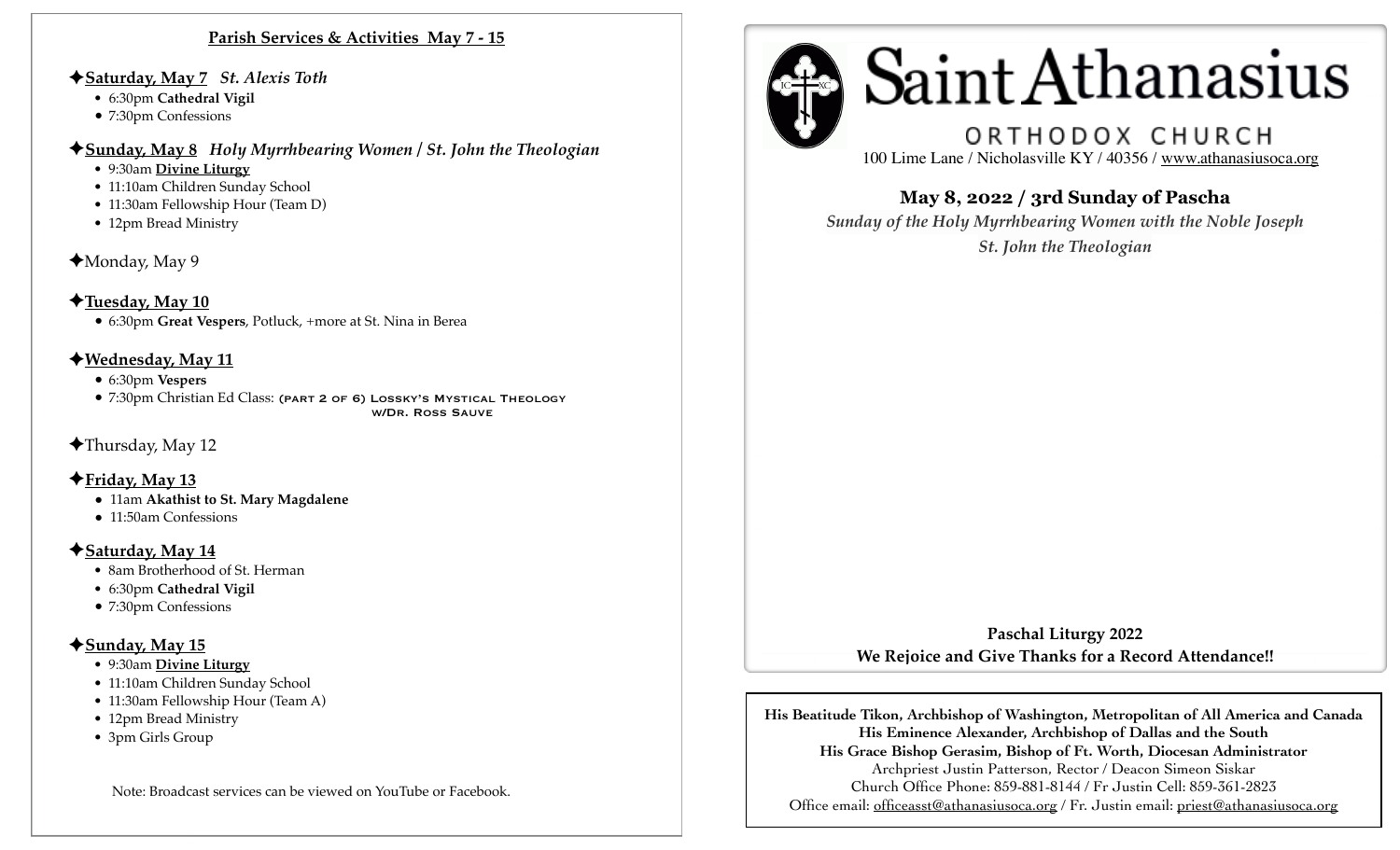#### **Parish Services & Activities May 7 - 15**

#### ✦**Saturday, May 7** *St. Alexis Toth*

- 6:30pm **Cathedral Vigil**
- 7:30pm Confessions
- ✦**Sunday, May 8** *Holy Myrrhbearing Women / St. John the Theologian* 
	- 9:30am **Divine Liturgy**
	- 11:10am Children Sunday School
	- 11:30am Fellowship Hour (Team D)
	- 12pm Bread Ministry
- ✦Monday, May 9
- ✦**Tuesday, May 10** • 6:30pm **Great Vespers**, Potluck, +more at St. Nina in Berea

### ✦**Wednesday, May 11**

- 6:30pm **Vespers**
- 7:30pm Christian Ed Class: (PART 2 OF 6) LOSSKY'S MYSTICAL THEOLOGY w/Dr. Ross Sauve
- ✦Thursday, May 12

### ✦**Friday, May 13**

- 11am **Akathist to St. Mary Magdalene**
- 11:50am Confessions

### ✦**Saturday, May 14**

- 8am Brotherhood of St. Herman
- •6:30pm **Cathedral Vigil**
- 7:30pm Confessions

## ✦**Sunday, May 15**

- 9:30am **Divine Liturgy**
- 11:10am Children Sunday School
- 11:30am Fellowship Hour (Team A)
- 12pm Bread Ministry
- 3pm Girls Group

Note: Broadcast services can be viewed on YouTube or Facebook.



# ORTHODOX CHURCH

100 Lime Lane / Nicholasville KY / 40356 / [www.athanasiusoca.org](http://www.athanasiusoca.org)

## **May 8, 2022 / 3rd Sunday of Pascha**

I ľ

> *Sunday of the Holy Myrrhbearing Women with the Noble Joseph St. John the Theologian*

**Paschal Liturgy 2022 We Rejoice and Give Thanks for a Record Attendance!!** 

**His Beatitude Tikon, Archbishop of Washington, Metropolitan of All America and Canada His Eminence Alexander, Archbishop of Dallas and the South His Grace Bishop Gerasim, Bishop of Ft. Worth, Diocesan Administrator**  Archpriest Justin Patterson, Rector / Deacon Simeon Siskar Church Office Phone: 859-881-8144 / Fr Justin Cell: 859-361-2823 Office email: [officeasst@athanasiusoca.org](mailto:officeasst@athanasiusoca.org) / Fr. Justin email: [priest@athanasiusoca.org](mailto:priest@athanasiusoca.org)